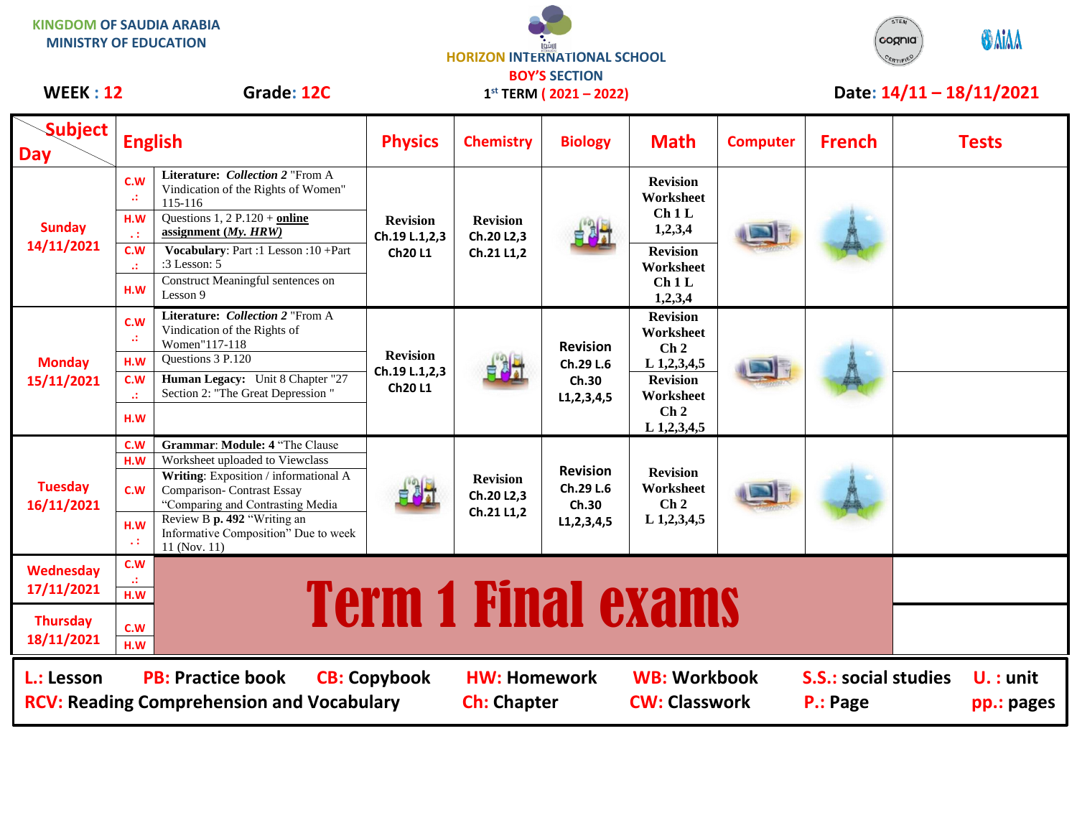**KINGDOM OF SAUDIA ARABIA MINISTRY OF EDUCATION**





## **Subject Day English Physics Chemistry Biology Math Computer French Tests Sunday 14/11/2021 C.W .: Literature:** *Collection 2* "From A Vindication of the Rights of Women" 115-116 **Revision Ch.19 L.1,2,3 Ch20 L1 Revision Ch.20 L2,3 Ch.21 L1,2 Revision Worksheet Ch 1 L 1,2,3,4 H.W . :** Questions 1, 2 P.120 + **online assignment (***My. HRW)* **C.W .: Vocabulary**: Part :1 Lesson :10 +Part :3 Lesson: 5 **Revision Worksheet Ch 1 L 1.W** Lesson 9 **CM 1.2**<br> **1,2,3,4** Construct Meaningful sentences on Lesson 9 **Monday 15/11/2021 C.W .: Literature:** *Collection 2* "From A Vindication of the Rights of Women"117-118 **Revision Ch.19 L.1,2,3 Ch20 L1 Revision Ch.29 L.6 Ch.30 L1,2,3,4,5 Revision Worksheet Ch 2 H.W Questions 3 P.120 Let use 10 to 10 1.12.2 Let use 10 1.12.3 Let use 10 1.12.3 Let use 10 1.12.3 Let use 10 1.12.3 Let use 10 1.12.3 Let use 10 1.12.3 Let use 10 1.12.3 Let use 10 1.12.3 Let use C.W .: Human Legacy:** Unit 8 Chapter "27 Section 2: "The Great Depression " **Revision Worksheet Ch 2 L 1,2,3,4,5 H.W Tuesday 16/11/2021 C.W Grammar**: **Module: 4** "The Clause **Revision Ch.20 L2,3 Ch.21 L1,2 Revision Ch.29 L.6 Ch.30 L1,2,3,4,5 Revision Worksheet Ch 2 L 1,2,3,4,5 H.W** Worksheet uploaded to Viewclass **C.W Writing**: Exposition / informational A Comparison- Contrast Essay "Comparing and Contrasting Media **H.W . :** Review B **p. 492** "Writing an Informative Composition" Due to week 11 (Nov. 11) **Wednesday 17/11/2021 C.W Final exams Thursday 18/11/2021 C.W H.W 1 st TERM ( 2021 – 2022)** WEEK : 12 Grade: 12C 1<sup>st</sup> TERM (2021 – 2022) Date: 14/11 – 18/11/2021 **L.: Lesson PB: Practice book CB: Copybook HW: Homework WB: Workbook S.S.: social studies U. : unit RCV: Reading Comprehension and Vocabulary and Ch: Chapter CW: Classwork P.: Page pp.: pages**